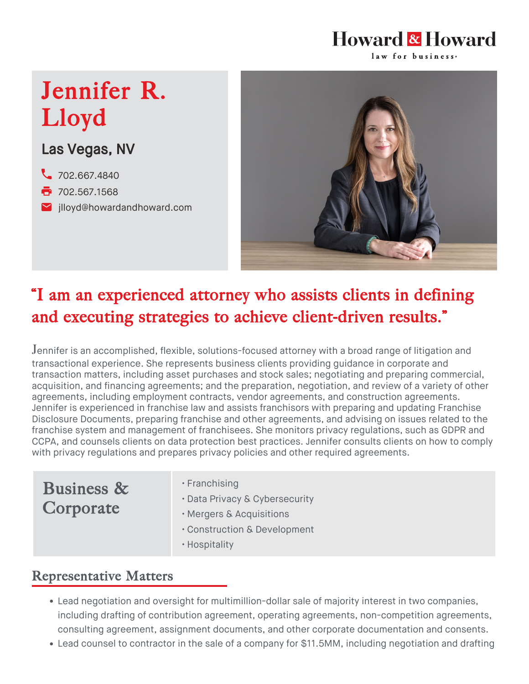#### Howard & Howard law for business<sup>®</sup>

# Jennifer R. Lloyd

## Las Vegas, NV

- [702.667.4840](tel:702.667.4840)
- **7**02.567.1568
- **M** [jlloyd@howardandhoward.com](mailto:jlloyd@howardandhoward.com)



# "I am an experienced attorney who assists clients in defining and executing strategies to achieve client-driven results."

Jennifer is an accomplished, flexible, solutions-focused attorney with a broad range of litigation and transactional experience. She represents business clients providing guidance in corporate and transaction matters, including asset purchases and stock sales; negotiating and preparing commercial, acquisition, and financing agreements; and the preparation, negotiation, and review of a variety of other agreements, including employment contracts, vendor agreements, and construction agreements. Jennifer is experienced in [franchise law](https://howardandhoward.com/services/franchising/) and assists franchisors with preparing and updating Franchise Disclosure Documents, preparing franchise and other agreements, and advising on issues related to the franchise system and management of franchisees. She monitors privacy regulations, such as GDPR and CCPA, and counsels clients on data protection best practices. Jennifer consults clients on how to comply with privacy regulations and prepares privacy policies and other required agreements.

# Business & Corporate

- Franchising
- Data Privacy & Cybersecurity
- Mergers & Acquisitions
- Construction & Development
- Hospitality

### Representative Matters

- Lead negotiation and oversight for multimillion-dollar sale of majority interest in two companies, including drafting of contribution agreement, operating agreements, non-competition agreements, consulting agreement, assignment documents, and other corporate documentation and consents.
- Lead counsel to contractor in the sale of a company for \$11.5MM, including negotiation and drafting